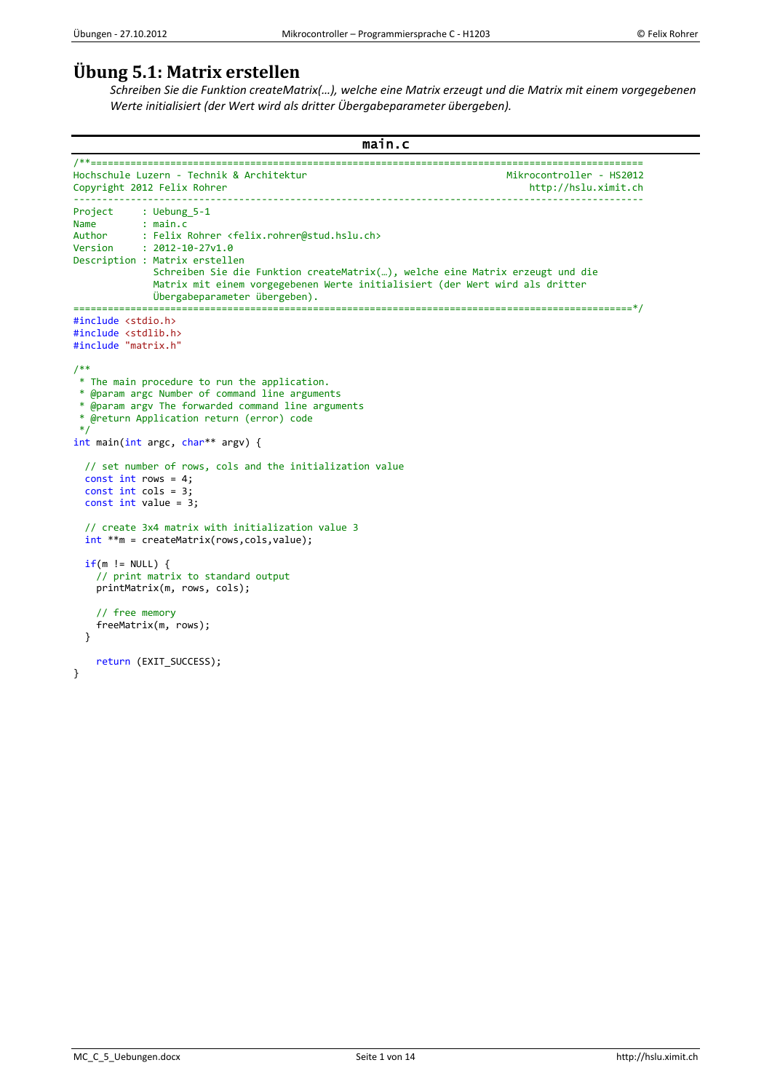# **Übung 5.1: Matrix erstellen**

*Schreiben Sie die Funktion createMatrix(…), welche eine Matrix erzeugt und die Matrix mit einem vorgegebenen Werte initialisiert (der Wert wird als dritter Übergabeparameter übergeben).*

```
main.c 
/**=================================================================================================
Hochschule Luzern - Technik & Architektur
Copyright 2012 Felix Rohrer http://hslu.ximit.ch
----------------------------------------------------------------------------------------------------
           : Uebung 5-1
Name : main.c<br>Author : Felix
Author : Felix Rohrer <felix.rohrer@stud.hslu.ch><br>Version : 2012-10-27v1.0
            : 2012 - 10 - 27v1.0Description : Matrix erstellen
               Schreiben Sie die Funktion createMatrix(…), welche eine Matrix erzeugt und die
               Matrix mit einem vorgegebenen Werte initialisiert (der Wert wird als dritter
 Übergabeparameter übergeben).
                   ==================================================================================================*/
#include <stdio.h>
#include <stdlib.h>
#include "matrix.h"
/**
 * The main procedure to run the application.
 * @param argc Number of command line arguments
 * @param argv The forwarded command line arguments
 * @return Application return (error) code
 */
int main(int argc, char** argv) {
   // set number of rows, cols and the initialization value
  const int rows = 4;
  const int cols = 3;
  const int value = 3;
   // create 3x4 matrix with initialization value 3
   int **m = createMatrix(rows,cols,value);
  if(m != NULL) {
     // print matrix to standard output
     printMatrix(m, rows, cols);
     // free memory
     freeMatrix(m, rows);
   } 
     return (EXIT_SUCCESS);
}
```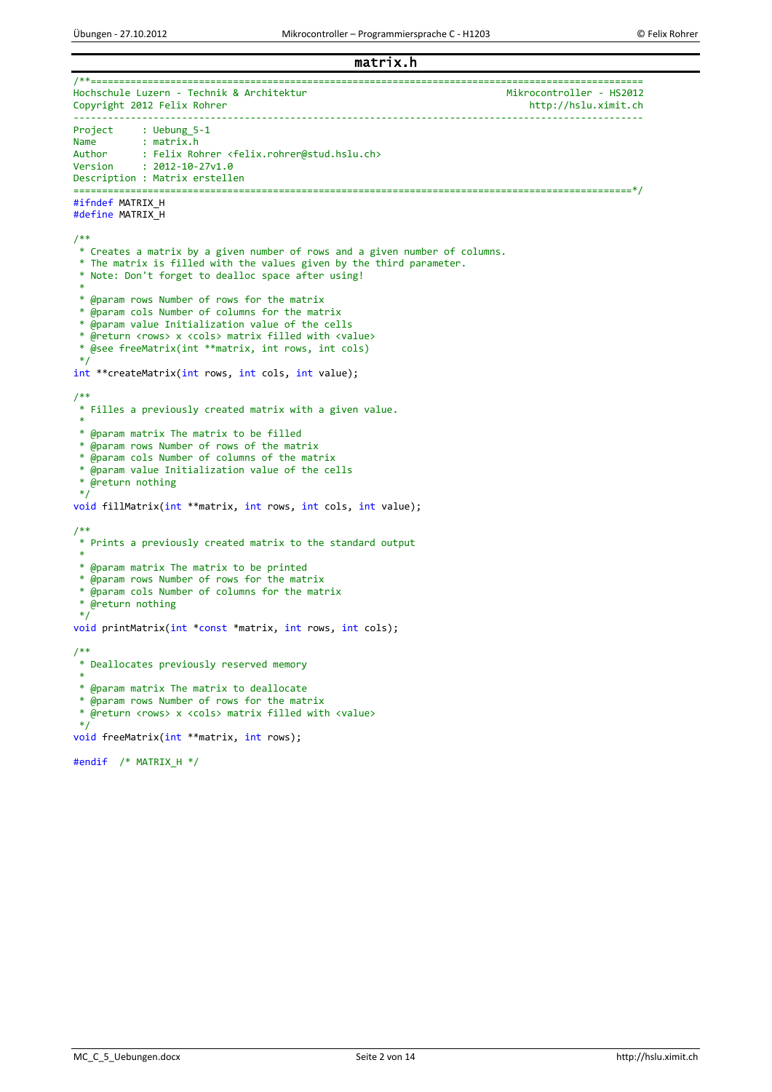#### matrix.h /\*\*================================================================================================= Hochschule Luzern - Technik & Architektur<br>Copyright 2012 Felix Rohrer Mikrocontroller - HS2012 Copyright 2012 Felix Rohrer ---------------------------------------------------------------------------------------------------- Project : Uebung\_5-1<br>Name : matrix.h Name : matrix.h<br>Author : Felix Rol Author : Felix Rohrer <felix.rohrer@stud.hslu.ch><br>Version : 2012-10-27v1.0  $: 2012 - 10 - 27v1.0$ Description : Matrix erstellen ==================================================================================================\*/ #ifndef MATRIX\_H #define MATRIX\_H /\*\* \* Creates a matrix by a given number of rows and a given number of columns. \* The matrix is filled with the values given by the third parameter. \* Note: Don't forget to dealloc space after using! \* \* @param rows Number of rows for the matrix \* @param cols Number of columns for the matrix \* @param value Initialization value of the cells \* @return <rows> x <cols> matrix filled with <value> \* @see freeMatrix(int \*\*matrix, int rows, int cols) \*/ int \*\*createMatrix(int rows, int cols, int value); /\*\* \* Filles a previously created matrix with a given value. \* \* @param matrix The matrix to be filled \* @param rows Number of rows of the matrix \* @param cols Number of columns of the matrix \* @param value Initialization value of the cells \* @return nothing \*/ void fillMatrix(int \*\*matrix, int rows, int cols, int value); /\*\* \* Prints a previously created matrix to the standard output \* \* @param matrix The matrix to be printed \* @param rows Number of rows for the matrix \* @param cols Number of columns for the matrix \* @return nothing \*/ void printMatrix(int \*const \*matrix, int rows, int cols); /\*\* \* Deallocates previously reserved memory \* \* @param matrix The matrix to deallocate \* @param rows Number of rows for the matrix \* @return <rows> x <cols> matrix filled with <value> \*/ void freeMatrix(int \*\*matrix, int rows); #endif /\* MATRIX\_H \*/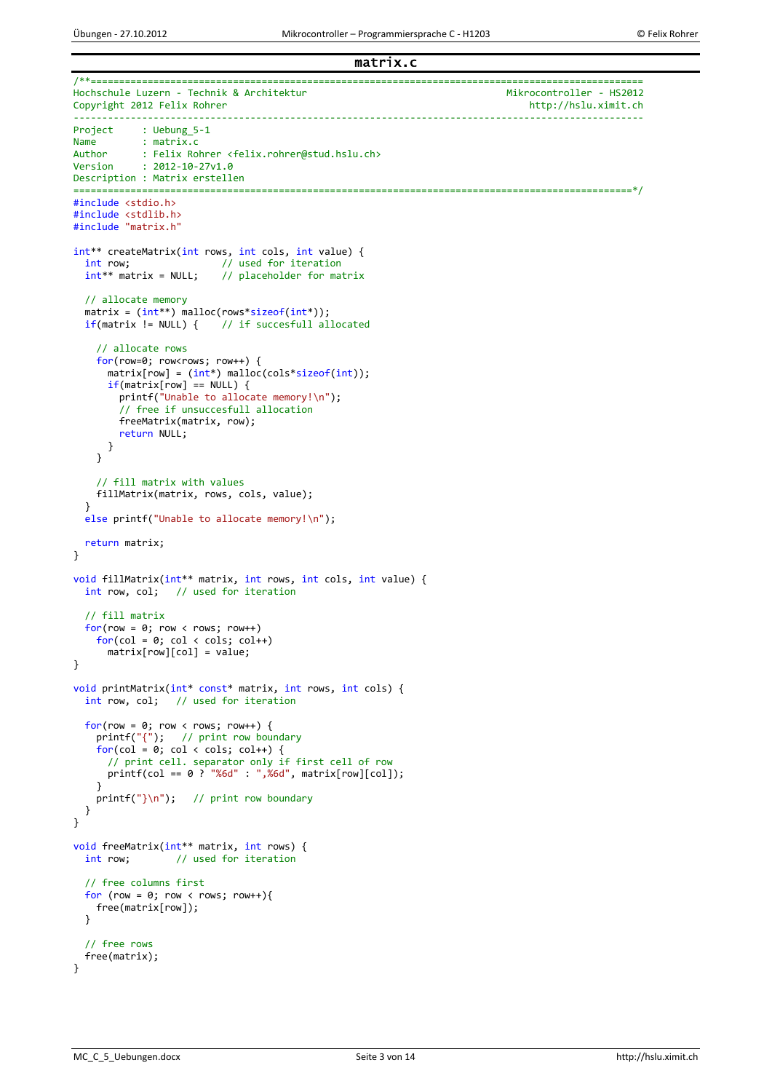matrix.c

```
/**=================================================================================================
Hochschule Luzern - Technik & Architektur<br>Copyright 2012 Felix Rohrer Mikrocontroller - HS2012
Copyright 2012 Felix Rohrer
                                    ----------------------------------------------------------------------------------------------------
Project : Uebung 5-1
Name : matrix.c<br>Author : Felix Rol
Author : Felix Rohrer <felix.rohrer@stud.hslu.ch><br>Version : 2012-10-27v1.0
            : 2012 - 10 - 27v1.0Description : Matrix erstellen
==================================================================================================*/
#include <stdio.h>
#include <stdlib.h>
#include "matrix.h"
int** createMatrix(int rows, int cols, int value) {
  int row; // used for iteration<br>int** matrix = NULL; // placeholder for mat
                            // placeholder for matrix
 // allocate memory
 matrix = (int**) malloc(rows*sizeof(int*));
  if(matrix != NULL) { // if successful allocated} // allocate rows
     for(row=0; row<rows; row++) {
       matrix[row] = (int*) malloc(cols*sizeof(int));
      if(matrix[row] == NULL) {
         printf("Unable to allocate memory!\n");
          // free if unsuccesfull allocation
         freeMatrix(matrix, row);
         return NULL;
       }
     }
     // fill matrix with values
     fillMatrix(matrix, rows, cols, value);
   }
  else printf("Unable to allocate memory!\n");
   return matrix;
}
void fillMatrix(int** matrix, int rows, int cols, int value) {
   int row, col; // used for iteration
   // fill matrix
  for(row = 0; row < row; row; row++)for(col = 0; col < col; col++)matrix[row][col] = value;}
void printMatrix(int* const* matrix, int rows, int cols) {
   int row, col; // used for iteration
 for(row = 0; row < rows; row++) {
 printf("{"); // print row boundary
    for(col = 0; col < col; col++) {
       // print cell. separator only if first cell of row
      \pi printf(col == 0 ? "%6d" : ",%6d", matrix[row][col]);
     }
    printf("}\n"); // print row boundary
   }
}
void freeMatrix(int** matrix, int rows) {<br>int row; // used for iteration
                   // used for iteration
   // free columns first
  for (row = \theta; row < rows; row++){
     free(matrix[row]);
  \mathbf{I} // free rows
   free(matrix);
}
```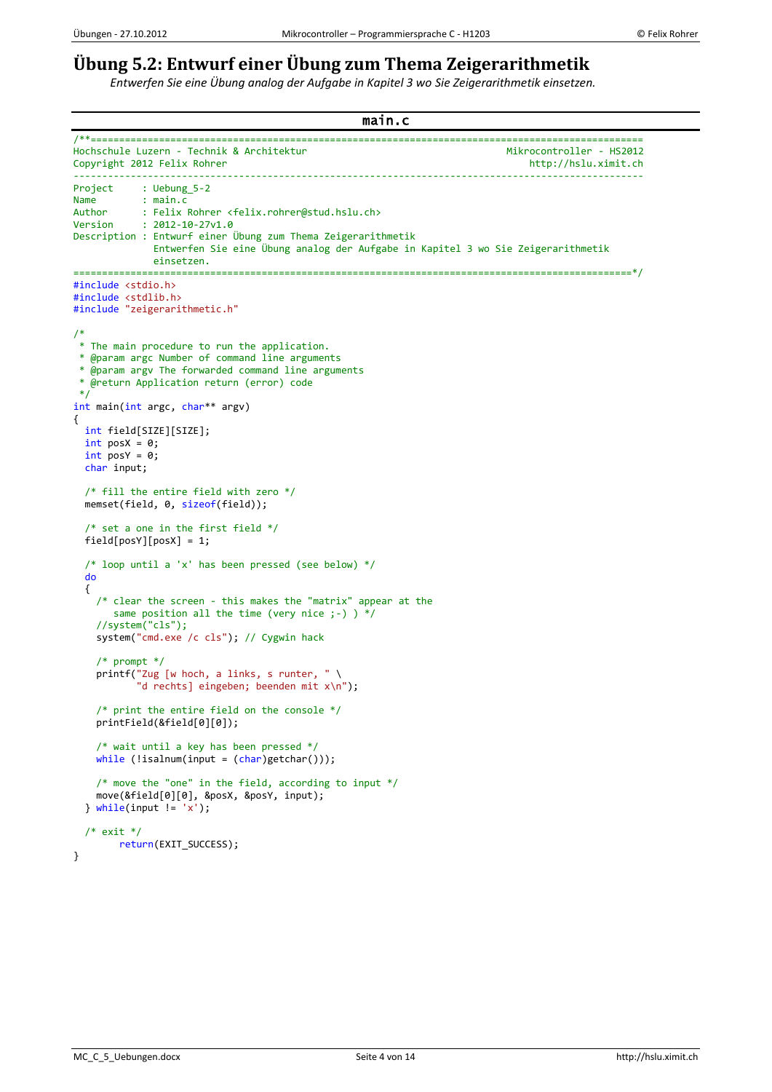# **Übung 5.2: Entwurf einer Übung zum Thema Zeigerarithmetik**

*Entwerfen Sie eine Übung analog der Aufgabe in Kapitel 3 wo Sie Zeigerarithmetik einsetzen.*

```
main.c 
/**=================================================================================================
Hochschule Luzern - Technik & Architektur<br>Copyright 2012 Felix Rohrer Mikrocontroller - HS2012
Copyright 2012 Felix Rohrer
     ----------------------------------------------------------------------------------------------------
Project : Uebung 5-2
Name : main.c<br>Author : Felix
Author : Felix Rohrer <felix.rohrer@stud.hslu.ch>
Version : 2012-10-27v1.0
Description : Entwurf einer Übung zum Thema Zeigerarithmetik
               Entwerfen Sie eine Übung analog der Aufgabe in Kapitel 3 wo Sie Zeigerarithmetik
               einsetzen.
==================================================================================================*/
#include <stdio.h>
#include <stdlib.h>
#include "zeigerarithmetic.h"
/*
 * The main procedure to run the application.
 * @param argc Number of command line arguments
 * @param argv The forwarded command line arguments
 * @return Application return (error) code
 */
int main(int argc, char** argv)
{
   int field[SIZE][SIZE];
  int posX = 0;int posY = 0;
   char input;
   /* fill the entire field with zero */
   memset(field, 0, sizeof(field));
   /* set a one in the first field */
  field[posY][posX] = 1; /* loop until a 'x' has been pressed (see below) */
   do
   {
     /* clear the screen - this makes the "matrix" appear at the
       same position all the time (very nice ;-) ) */
     //system("cls");
     system("cmd.exe /c cls"); // Cygwin hack
     /* prompt */
     printf("Zug [w hoch, a links, s runter, " \
            "d rechts] eingeben; beenden mit x\n");
     /* print the entire field on the console */
     printField(&field[0][0]);
     /* wait until a key has been pressed */
    while (lisalnum(input = (char)getchar)));
     /* move the "one" in the field, according to input */
     move(&field[0][0], &posX, &posY, input);
  } while(input != 'x');
  /* exit */return(EXIT_SUCCESS);
}
```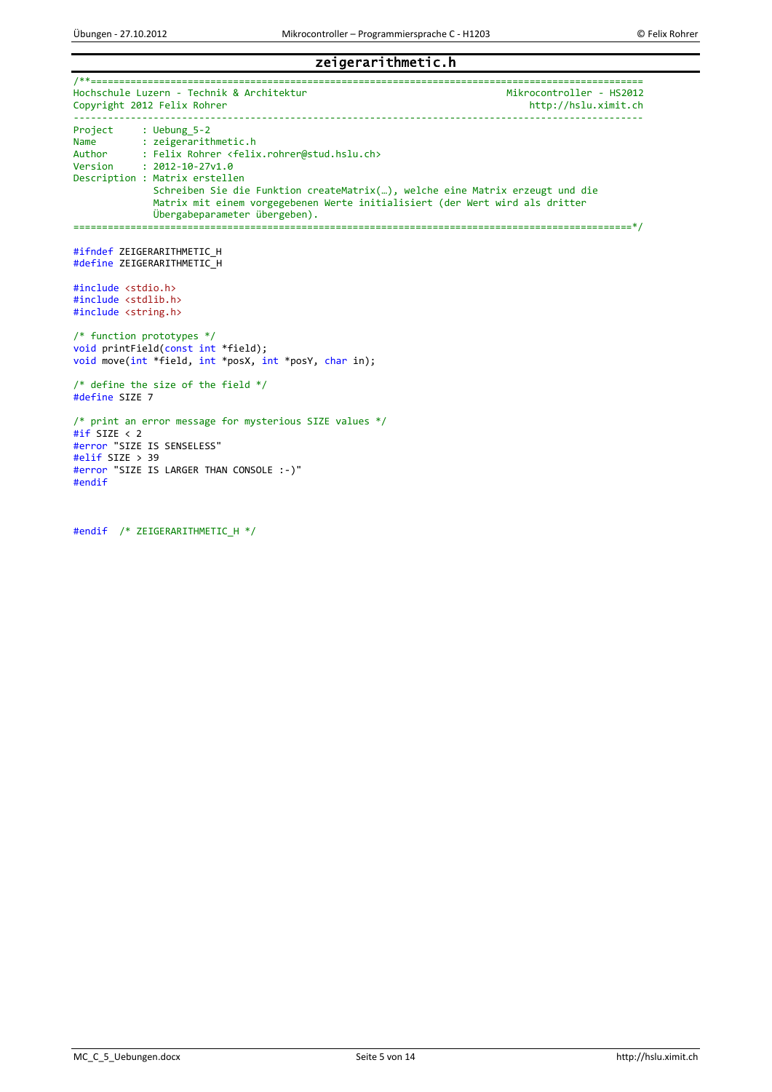### zeigerarithmetic.h

/\*\*================================================================================================= Hochschule Luzern - Technik & Architektur<br>Copyright 2012 Felix Rohrer Mikrocontroller - HS2012 Copyright 2012 Felix Rohrer ---------------------------------------------------------------------------------------------------- Project : Uebung\_5-2<br>Name : zeigerarith Name : zeigerarithmetic.h<br>Author : Felix Rohrer <felix Author : Felix Rohrer <felix.rohrer@stud.hslu.ch><br>Version : 2012-10-27v1.0  $: 2012 - 10 - 27v1.0$ Description : Matrix erstellen Schreiben Sie die Funktion createMatrix(…), welche eine Matrix erzeugt und die Matrix mit einem vorgegebenen Werte initialisiert (der Wert wird als dritter Übergabeparameter übergeben). ==================================================================================================\*/ #ifndef ZEIGERARITHMETIC\_H #define ZEIGERARITHMETIC\_H #include <stdio.h> #include <stdlib.h> #include <string.h> /\* function prototypes \*/ void printField(const int \*field); void move(int \*field, int \*posX, int \*posY, char in); /\* define the size of the field \*/ #define SIZE 7 /\* print an error message for mysterious SIZE values \*/ #if SIZE < 2 #error "SIZE IS SENSELESS" #elif SIZE > 39 #error "SIZE IS LARGER THAN CONSOLE :-)" #endif

#endif /\* ZEIGERARITHMETIC\_H \*/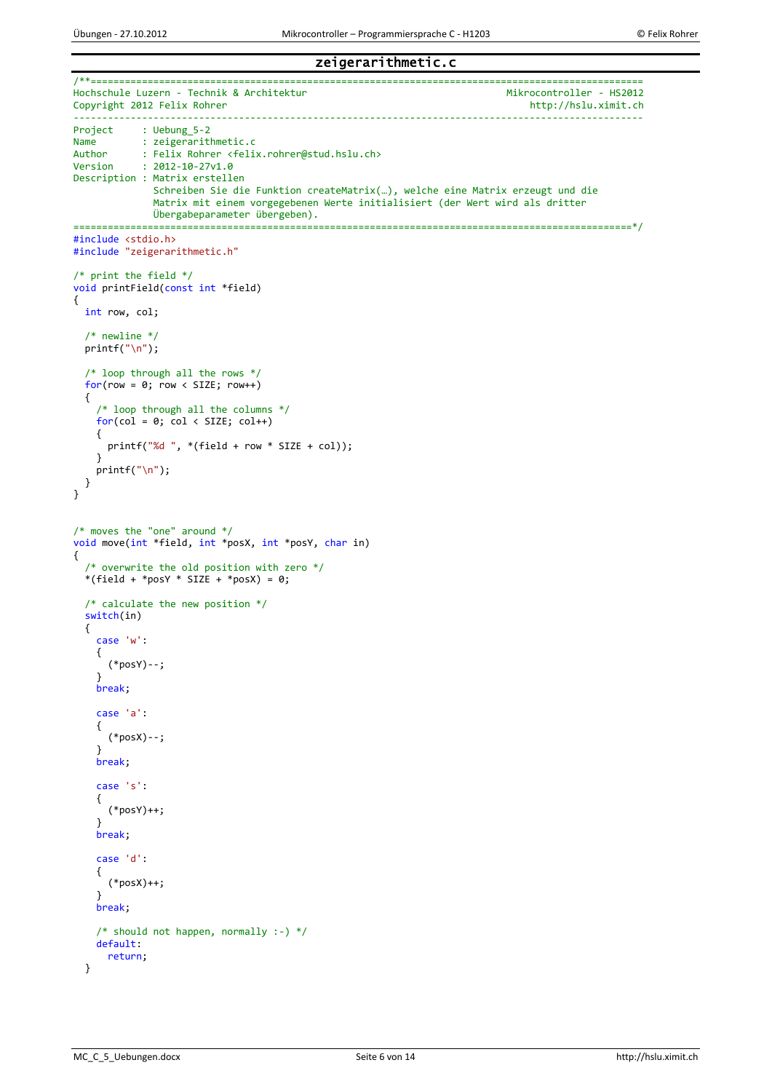#### zeigerarithmetic.c

```
/**=================================================================================================
Hochschule Luzern - Technik & Architektur<br>Copyright 2012 Felix Rohrer Mikrocontroller - HS2012
Copyright 2012 Felix Rohrer
                                           ----------------------------------------------------------------------------------------------------
Project : Uebung_5-2<br>Name : zeigerarit
Name : zeigerarithmetic.c<br>Author : Felix Rohrer <felix
Author : Felix Rohrer <felix.rohrer@stud.hslu.ch><br>Version : 2012-10-27v1.0
             : 2012 - 10 - 27v1.0Description : Matrix erstellen
                Schreiben Sie die Funktion createMatrix(…), welche eine Matrix erzeugt und die
                 Matrix mit einem vorgegebenen Werte initialisiert (der Wert wird als dritter
                Übergabeparameter übergeben).
==================================================================================================*/
#include <stdio.h>
#include "zeigerarithmetic.h"
/* print the field */
void printField(const int *field)
{
   int row, col;
   /* newline */
   printf("\n");
   /* loop through all the rows */
  for(row = 0; row < SIZE; row++) {
     /* loop through all the columns */
    for(col = 0; col < SLZE; col++) {
       printf("%d ", *(field + row * SIZE + col));
     }
    print(f("n");
   } 
}
/* moves the "one" around */
void move(int *field, int *posX, int *posY, char in)
{
   /* overwrite the old position with zero */
  *(field + *posY * SIZE + *posX) = \theta;
   /* calculate the new position */
   switch(in)
   {
     case 'w': 
     {
        (*posY)--;
     }
     break;
     case 'a':
     {
        (*posX)--;
     }
     break;
     case 's':
     {
        (*posY)++;
 }
     break;
     case 'd':
     {
        (*posX)++;
     }
     break;
     /* should not happen, normally :-) */
     default:
       return;
   }
```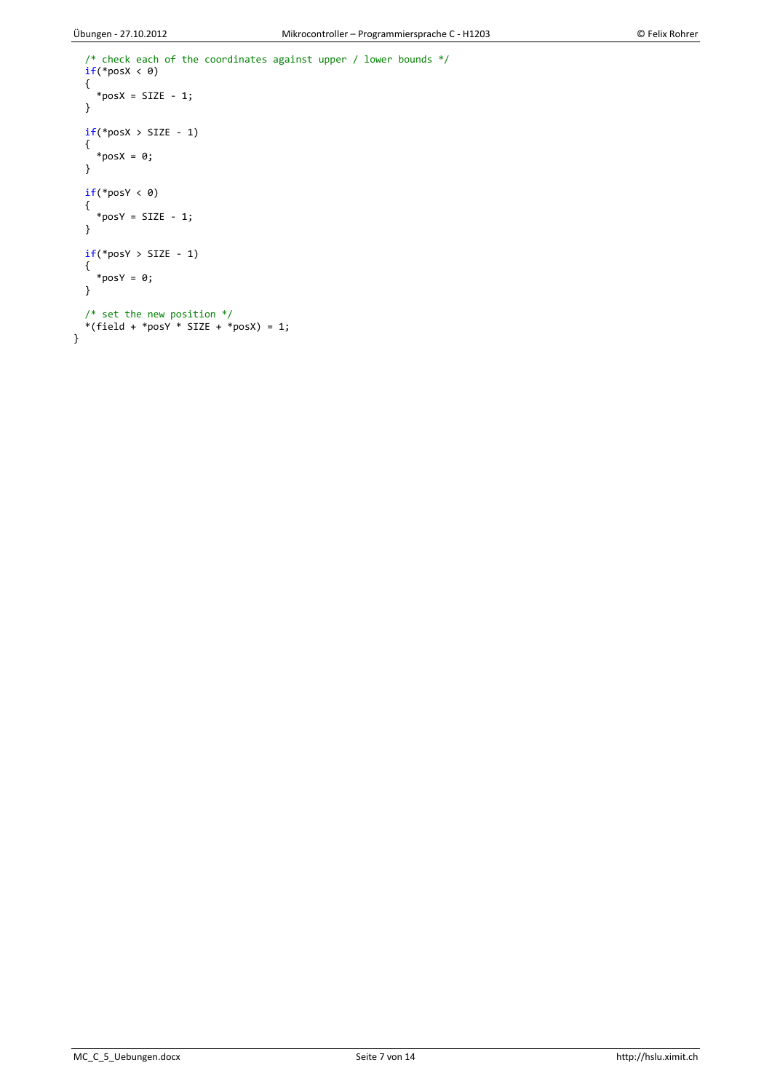```
 /* check each of the coordinates against upper / lower bounds */
 if(*posX < 0)
   {
    *posX = SIZE - 1;
   }
  if("posX > SIZE - 1) {
    *posX = 0;
   }
  if("posY < 0) {
    *posY = SIZE - 1;
   }
  if("posY > SIZE - 1) {
    *posY = 0;
   }
 /* set the new position */
*(field + *posY * SIZE + *posX) = 1;}
```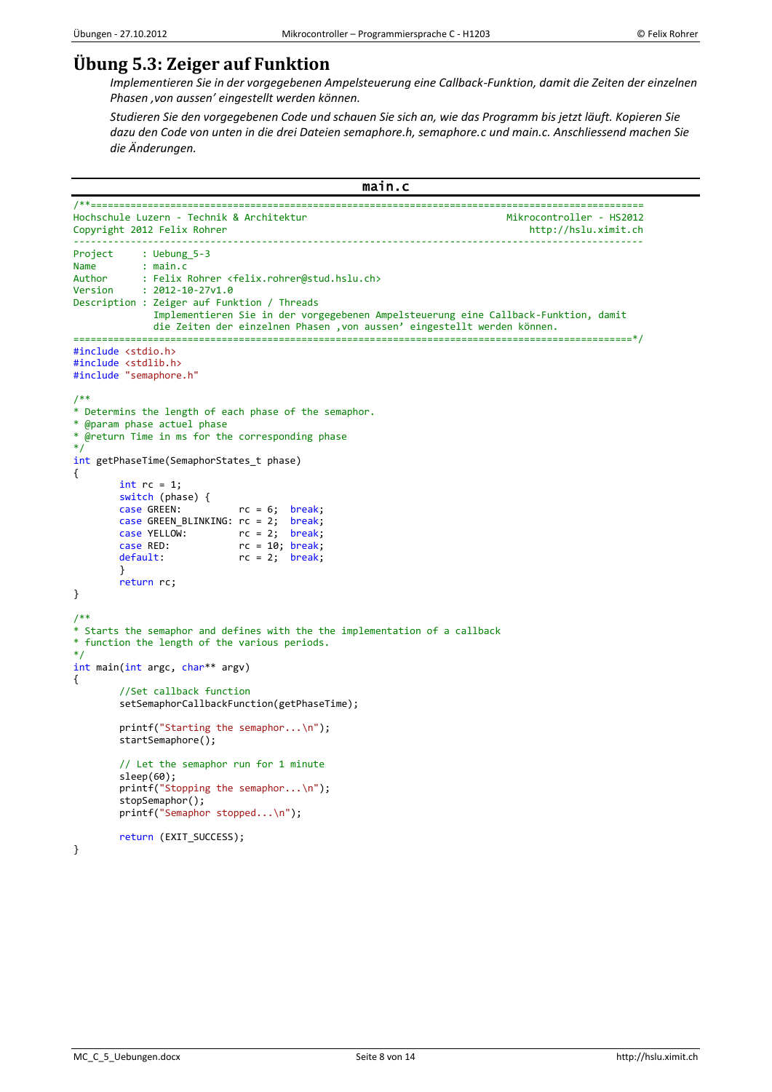## **Übung 5.3: Zeiger auf Funktion**

*Implementieren Sie in der vorgegebenen Ampelsteuerung eine Callback-Funktion, damit die Zeiten der einzelnen Phasen 'von aussen' eingestellt werden können.*

*Studieren Sie den vorgegebenen Code und schauen Sie sich an, wie das Programm bis jetzt läuft. Kopieren Sie dazu den Code von unten in die drei Dateien semaphore.h, semaphore.c und main.c. Anschliessend machen Sie die Änderungen.*

```
main.c
```

```
/**=================================================================================================
Hochschule Luzern - Technik & Architektur
Copyright 2012 Felix Rohrer http://hslu.ximit.ch
----------------------------------------------------------------------------------------------------
Project : Uebung_5-3<br>Name : main.c
Name : main.c<br>Author : Felix
Author : Felix Rohrer <felix.rohrer@stud.hslu.ch><br>Version : 2012-10-27v1.0
            : 2012 - 10 - 27v1.0Description : Zeiger auf Funktion / Threads
               Implementieren Sie in der vorgegebenen Ampelsteuerung eine Callback-Funktion, damit
              die Zeiten der einzelnen Phasen 'von aussen' eingestellt werden können.
======================
#include <stdio.h>
#include <stdlib.h>
#include "semaphore.h"
/**
* Determins the length of each phase of the semaphor.
* @param phase actuel phase
* @return Time in ms for the corresponding phase
*/
int getPhaseTime(SemaphorStates_t phase)
{
        int rc = 1;
        switch (phase) {
        case GREEN: rc = 6; break; case GREEN_BLINKING: rc = 2; break;
         case YELLOW: rc = 2; break;
case RED: The rc = 10; break;
 default: rc = 2; break;
        }
        return rc;
}
/**
* Starts the semaphor and defines with the the implementation of a callback
* function the length of the various periods.
*/
int main(int argc, char** argv)
{
        //Set callback function 
        setSemaphorCallbackFunction(getPhaseTime);
        printf("Starting the semaphor...\n");
        startSemaphore();
        // Let the semaphor run for 1 minute
        sleep(60);
        printf("Stopping the semaphor...\n");
        stopSemaphor();
        printf("Semaphor stopped...\n");
        return (EXIT_SUCCESS);
```
}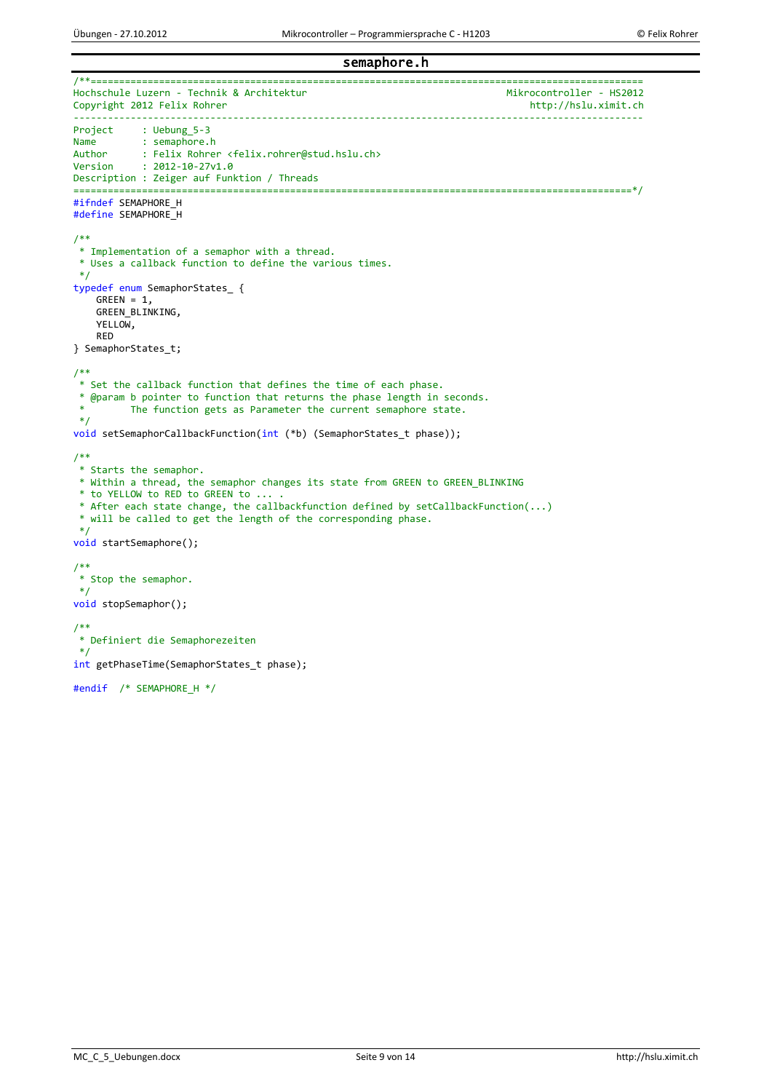semaphore.h

```
/**=================================================================================================
Hochschule Luzern - Technik & Architektur<br>Copyright 2012 Felix Rohrer Mikrocontroller - HS2012
Copyright 2012 Felix Rohrer
                                     ----------------------------------------------------------------------------------------------------
Project : Uebung_5-3<br>Name : semaphore.
Name : semaphore.h<br>Author : Felix Rohrer
Author : Felix Rohrer <felix.rohrer@stud.hslu.ch><br>Version : 2012-10-27v1.0
            : 2012 - 10 - 27v1.0Description : Zeiger auf Funktion / Threads
==================================================================================================*/
#ifndef SEMAPHORE_H
#define SEMAPHORE_H
/** 
 * Implementation of a semaphor with a thread. 
 * Uses a callback function to define the various times. 
*/
typedef enum SemaphorStates_ { 
    GREEN = 1 GREEN_BLINKING, 
    YELLOW,
     RED 
} SemaphorStates_t; 
/** 
* Set the callback function that defines the time of each phase. 
 * @param b pointer to function that returns the phase length in seconds. 
          The function gets as Parameter the current semaphore state.
*/
void setSemaphorCallbackFunction(int (*b) (SemaphorStates_t phase)); 
/** 
* Starts the semaphor. 
 * Within a thread, the semaphor changes its state from GREEN to GREEN_BLINKING 
 * to YELLOW to RED to GREEN to ... . 
* After each state change, the callbackfunction defined by setCallbackFunction(...) 
 * will be called to get the length of the corresponding phase. 
 */
void startSemaphore(); 
/** 
* Stop the semaphor. 
 */
void stopSemaphor(); 
/**
* Definiert die Semaphorezeiten
*/
int getPhaseTime(SemaphorStates_t phase);
#endif /* SEMAPHORE_H */
```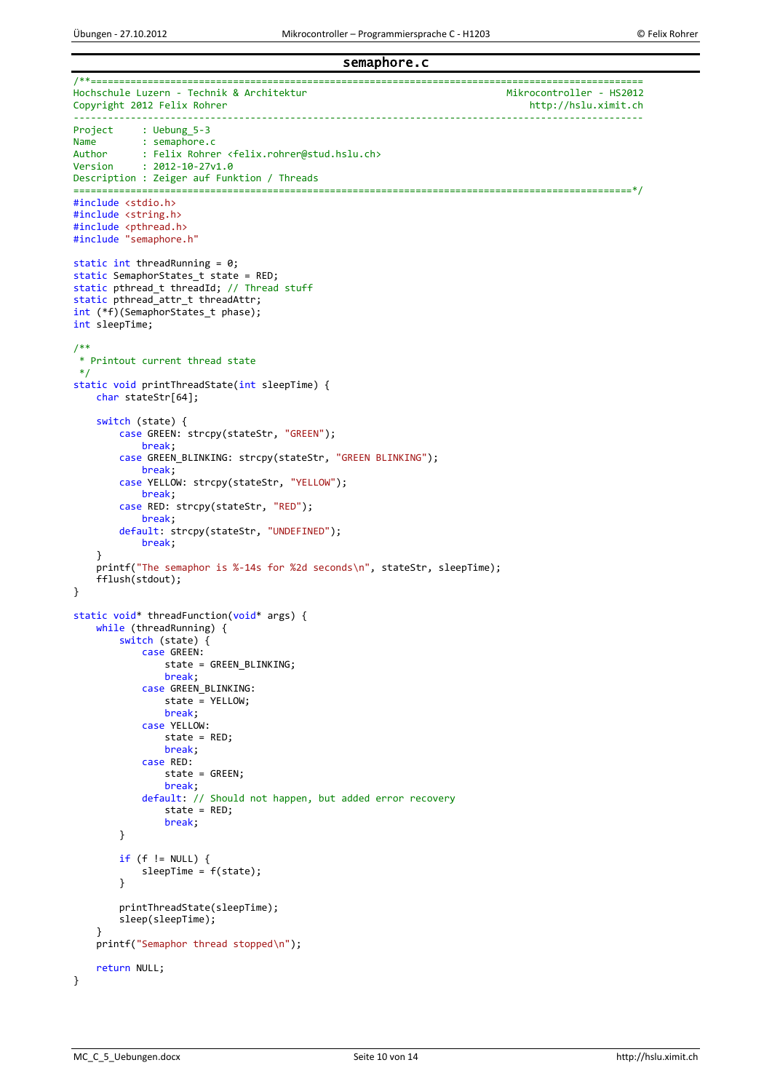### semaphore.c

```
/**=================================================================================================
Hochschule Luzern - Technik & Architektur<br>Copyright 2012 Felix Rohrer Mikrocontroller - HS2012
Copyright 2012 Felix Rohrer
                                            ----------------------------------------------------------------------------------------------------
Project : Uebung_5-3<br>Name : semaphore.
Name : semaphore.c<br>Author : Felix Rohre
Author : Felix Rohrer <felix.rohrer@stud.hslu.ch><br>Version : 2012-10-27v1.0
            : 2012 - 10 - 27v1.0Description : Zeiger auf Funktion / Threads
==================================================================================================*/
#include <stdio.h>
#include <string.h>
#include <pthread.h>
#include "semaphore.h"
static int threadRunning = 0;
static SemaphorStates_t state = RED;
static pthread_t threadId; // Thread stuff
static pthread_attr_t threadAttr;
int (*f)(SemaphorStates t phase);
int sleepTime;
/** 
 * Printout current thread state 
 */
static void printThreadState(int sleepTime) {
     char stateStr[64];
     switch (state) {
         case GREEN: strcpy(stateStr, "GREEN");
              break;
         case GREEN BLINKING: strcpy(stateStr, "GREEN BLINKING");
              break;
          case YELLOW: strcpy(stateStr, "YELLOW");
              break;
          case RED: strcpy(stateStr, "RED");
              break;
          default: strcpy(stateStr, "UNDEFINED");
              break;
     }
     printf("The semaphor is %-14s for %2d seconds\n", stateStr, sleepTime);
     fflush(stdout);
}
static void* threadFunction(void* args) {
     while (threadRunning) {
          switch (state) {
              case GREEN:
                  state = GREEN_BLINKING;
                   break;
              case GREEN_BLINKING:
                   state = YELLOW;
                  break;
              case YELLOW:
                   state = RED;
                  break;
              case RED:
                   state = GREEN;
                   break;
              default: // Should not happen, but added error recovery 
                   state = RED;
                   break;
         }
         if (f != NULL)sleepTime = f(state);
 }
          printThreadState(sleepTime);
          sleep(sleepTime);
     }
     printf("Semaphor thread stopped\n");
     return NULL;
}
```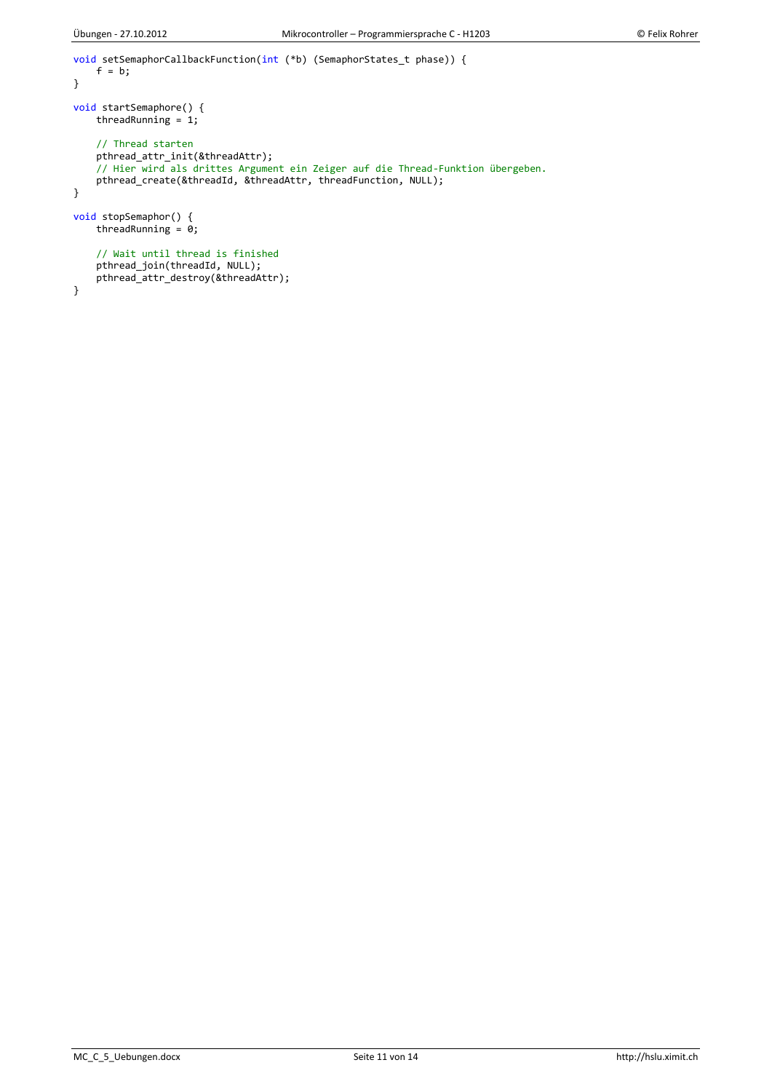}

MC\_C\_5\_Uebungen.docx Seite 11 von 14 http://hslu.ximit.ch

```
void setSemaphorCallbackFunction(int (*b) (SemaphorStates_t phase)) {
    f = b;}
void startSemaphore() {
    threadRunning = 1;
     // Thread starten 
     pthread_attr_init(&threadAttr);
 // Hier wird als drittes Argument ein Zeiger auf die Thread-Funktion übergeben. 
 pthread_create(&threadId, &threadAttr, threadFunction, NULL);
}
void stopSemaphor() {
    threadRunning = 0;
     // Wait until thread is finished 
     pthread_join(threadId, NULL);
    pthread_attr_destroy(&threadAttr);
```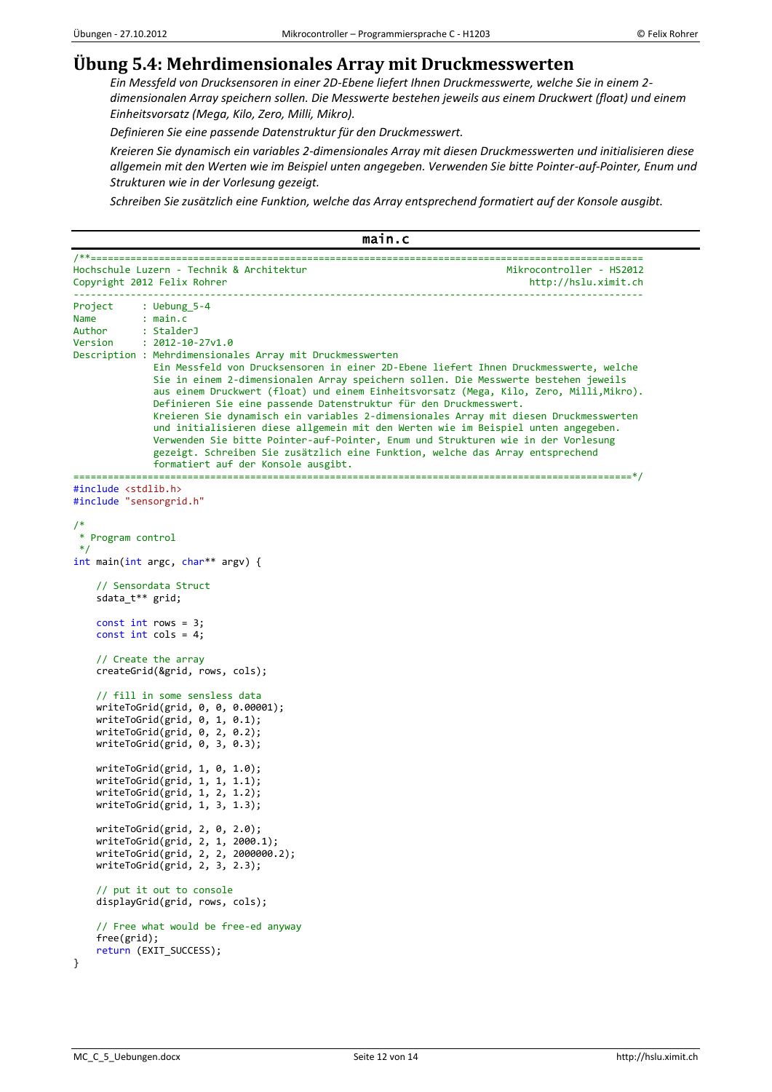## **Übung 5.4: Mehrdimensionales Array mit Druckmesswerten**

*Ein Messfeld von Drucksensoren in einer 2D-Ebene liefert Ihnen Druckmesswerte, welche Sie in einem 2 dimensionalen Array speichern sollen. Die Messwerte bestehen jeweils aus einem Druckwert (float) und einem Einheitsvorsatz (Mega, Kilo, Zero, Milli, Mikro).*

*Definieren Sie eine passende Datenstruktur für den Druckmesswert.*

*Kreieren Sie dynamisch ein variables 2-dimensionales Array mit diesen Druckmesswerten und initialisieren diese allgemein mit den Werten wie im Beispiel unten angegeben. Verwenden Sie bitte Pointer-auf-Pointer, Enum und Strukturen wie in der Vorlesung gezeigt.*

*Schreiben Sie zusätzlich eine Funktion, welche das Array entsprechend formatiert auf der Konsole ausgibt.*

```
main.c 
/**=================================================================================================
Hochschule Luzern - Technik & Architektur Mikrocontroller - HS2012
Copyright 2012 Felix Rohrer http://hslu.ximit.ch
                                      ----------------------------------------------------------------------------------------------------
Project : Uebung 5-4
Name : main.c<br>Author : Stalder
           : StalderJ
Version : 2012-10-27v1.0
Description : Mehrdimensionales Array mit Druckmesswerten
               Ein Messfeld von Drucksensoren in einer 2D-Ebene liefert Ihnen Druckmesswerte, welche
               Sie in einem 2-dimensionalen Array speichern sollen. Die Messwerte bestehen jeweils
               aus einem Druckwert (float) und einem Einheitsvorsatz (Mega, Kilo, Zero, Milli,Mikro).
               Definieren Sie eine passende Datenstruktur für den Druckmesswert.
               Kreieren Sie dynamisch ein variables 2-dimensionales Array mit diesen Druckmesswerten
               und initialisieren diese allgemein mit den Werten wie im Beispiel unten angegeben.
               Verwenden Sie bitte Pointer-auf-Pointer, Enum und Strukturen wie in der Vorlesung
               gezeigt. Schreiben Sie zusätzlich eine Funktion, welche das Array entsprechend
               formatiert auf der Konsole ausgibt.
==================================================================================================*/
#include <stdlib.h>
#include "sensorgrid.h"
/*
 * Program control
 */
int main(int argc, char** argv) {
     // Sensordata Struct
     sdata_t** grid;
     const int rows = 3;
    const int cols = 4;
     // Create the array
     createGrid(&grid, rows, cols);
     // fill in some sensless data
     writeToGrid(grid, 0, 0, 0.00001);
     writeToGrid(grid, 0, 1, 0.1);
     writeToGrid(grid, 0, 2, 0.2);
     writeToGrid(grid, 0, 3, 0.3);
     writeToGrid(grid, 1, 0, 1.0);
     writeToGrid(grid, 1, 1, 1.1);
     writeToGrid(grid, 1, 2, 1.2);
     writeToGrid(grid, 1, 3, 1.3);
     writeToGrid(grid, 2, 0, 2.0);
     writeToGrid(grid, 2, 1, 2000.1);
     writeToGrid(grid, 2, 2, 2000000.2);
     writeToGrid(grid, 2, 3, 2.3);
     // put it out to console
     displayGrid(grid, rows, cols);
     // Free what would be free-ed anyway
     free(grid);
    return (EXIT SUCCESS);
```

```
}
```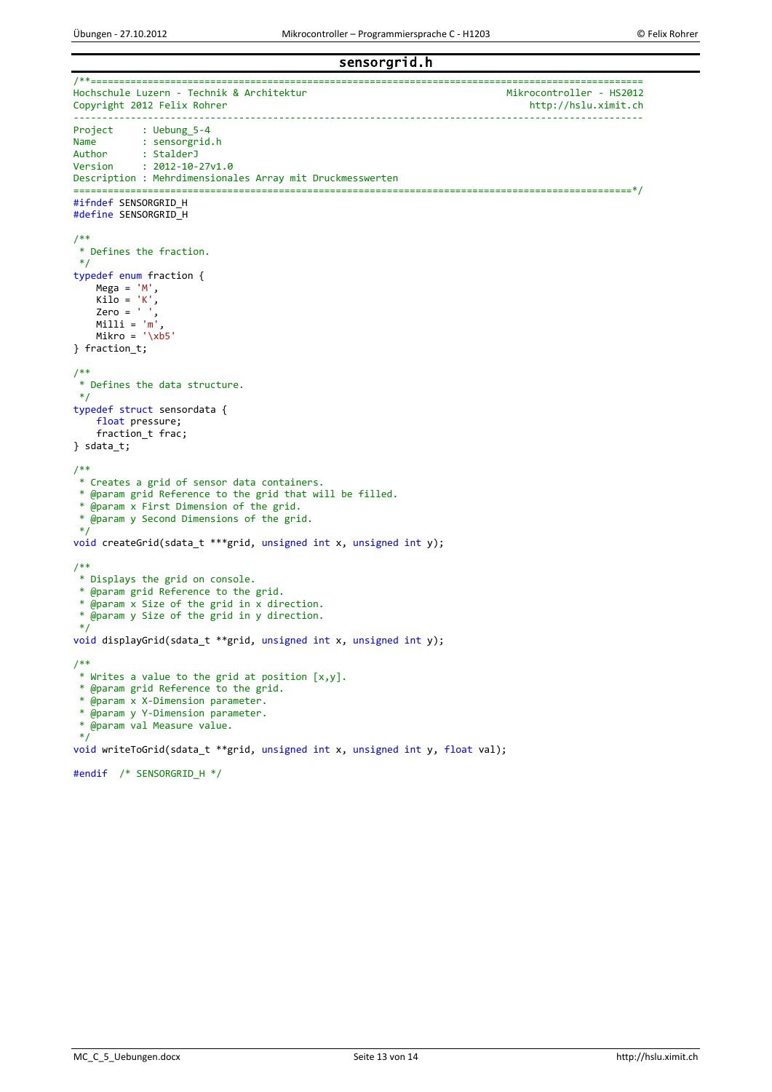sensorgrid.h

```
/**=================================================================================================
Hochschule Luzern - Technik & Architektur<br>Copyright 2012 Felix Rohrer Mikrocontroller - HS2012
Copyright 2012 Felix Rohrer
                                             ----------------------------------------------------------------------------------------------------
Project : Uebung_5-4<br>Name : sensorgrid
Name : sensorgrid.h<br>Author : StalderJ
Author : StalderJ<br>Version : 2012-10-
            : 2012 - 10 - 27v1.0Description : Mehrdimensionales Array mit Druckmesswerten
==================================================================================================*/
#ifndef SENSORGRID_H
#define SENSORGRID_H
/**
 * Defines the fraction.
*/
typedef enum fraction {
    Mega = 'M',Kilo = 'K',<br>Zero = '
 Zero = ' ',
 Milli = 'm',
    Mikro = \sqrt{x}b5
} fraction_t;
/**
* Defines the data structure.
*/
typedef struct sensordata {
     float pressure;
     fraction_t frac;
} sdata_t;
/**
* Creates a grid of sensor data containers.
* @param grid Reference to the grid that will be filled.
 * @param x First Dimension of the grid.
 * @param y Second Dimensions of the grid.
 */
void createGrid(sdata_t ***grid, unsigned int x, unsigned int y);
/**
* Displays the grid on console.
 * @param grid Reference to the grid.
 * @param x Size of the grid in x direction.
 * @param y Size of the grid in y direction.
 */
void displayGrid(sdata_t **grid, unsigned int x, unsigned int y);
/**
* Writes a value to the grid at position [x,y].
 * @param grid Reference to the grid.
 * @param x X-Dimension parameter.
 * @param y Y-Dimension parameter.
 * @param val Measure value.
 */
void writeToGrid(sdata_t **grid, unsigned int x, unsigned int y, float val);
#endif /* SENSORGRID_H */
```